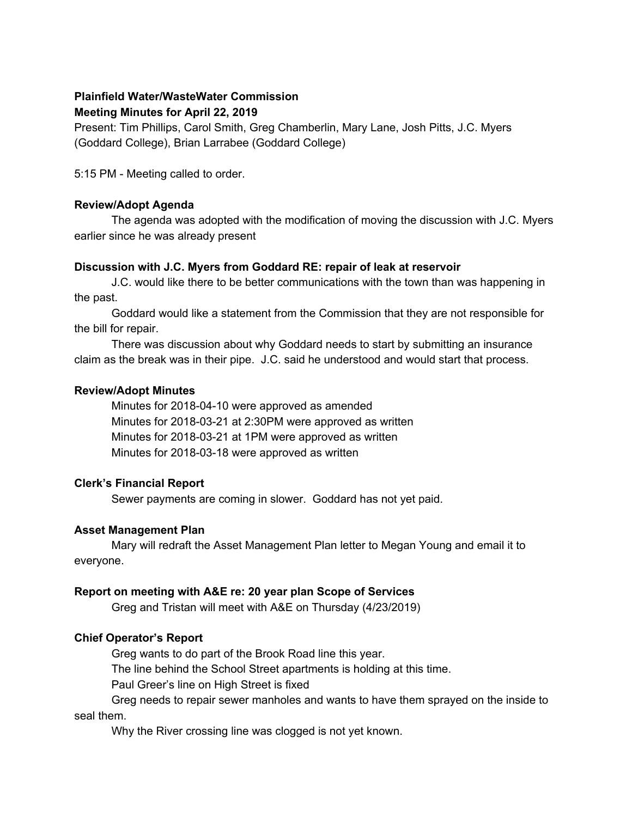#### **Plainfield Water/WasteWater Commission Meeting Minutes for April 22, 2019**

Present: Tim Phillips, Carol Smith, Greg Chamberlin, Mary Lane, Josh Pitts, J.C. Myers (Goddard College), Brian Larrabee (Goddard College)

5:15 PM - Meeting called to order.

#### **Review/Adopt Agenda**

The agenda was adopted with the modification of moving the discussion with J.C. Myers earlier since he was already present

## **Discussion with J.C. Myers from Goddard RE: repair of leak at reservoir**

J.C. would like there to be better communications with the town than was happening in the past.

Goddard would like a statement from the Commission that they are not responsible for the bill for repair.

There was discussion about why Goddard needs to start by submitting an insurance claim as the break was in their pipe. J.C. said he understood and would start that process.

## **Review/Adopt Minutes**

Minutes for 2018-04-10 were approved as amended Minutes for 2018-03-21 at 2:30PM were approved as written Minutes for 2018-03-21 at 1PM were approved as written Minutes for 2018-03-18 were approved as written

# **Clerk's Financial Report**

Sewer payments are coming in slower. Goddard has not yet paid.

## **Asset Management Plan**

Mary will redraft the Asset Management Plan letter to Megan Young and email it to everyone.

## **Report on meeting with A&E re: 20 year plan Scope of Services**

Greg and Tristan will meet with A&E on Thursday (4/23/2019)

# **Chief Operator's Report**

Greg wants to do part of the Brook Road line this year.

The line behind the School Street apartments is holding at this time.

Paul Greer's line on High Street is fixed

Greg needs to repair sewer manholes and wants to have them sprayed on the inside to seal them.

Why the River crossing line was clogged is not yet known.